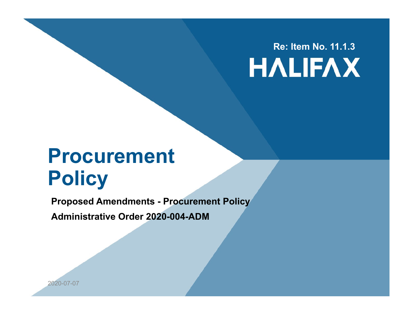#### **Re: Item No. 11.1.3HALIFAX**

#### **Procurement Policy**

**Proposed Amendments - Procurement Policy**

**Administrative Order 2020-004-ADM**

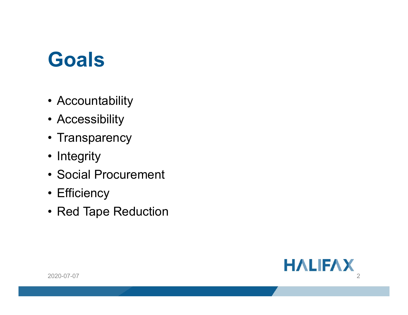### **Goals**

- Accountability
- Accessibility
- Transparency
- Integrity
- Social Procurement
- Efficiency
- Red Tape Reduction

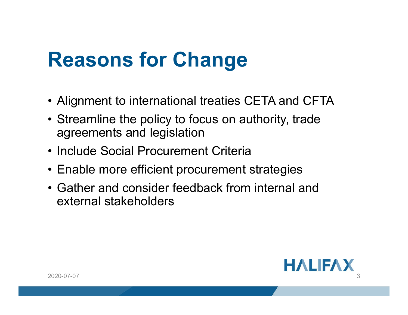## **Reasons for Change**

- Alignment to international treaties CETA and CFTA
- Streamline the policy to focus on authority, trade agreements and legislation
- Include Social Procurement Criteria
- Enable more efficient procurement strategies
- Gather and consider feedback from internal and external stakeholders

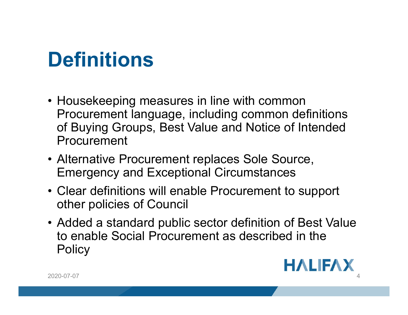# **Definitions**

- Housekeeping measures in line with common Procurement language, including common definitions of Buying Groups, Best Value and Notice of Intended Procurement
- Alternative Procurement replaces Sole Source, Emergency and Exceptional Circumstances
- Clear definitions will enable Procurement to support other policies of Council
- Added a standard public sector definition of Best Value to enable Social Procurement as described in the **Policy**

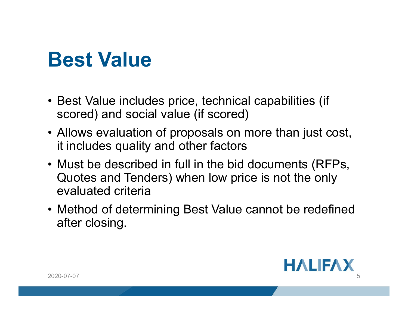### **Best Value**

- Best Value includes price, technical capabilities (if scored) and social value (if scored)
- Allows evaluation of proposals on more than just cost, it includes quality and other factors
- Must be described in full in the bid documents (RFPs, Quotes and Tenders) when low price is not the only evaluated criteria
- Method of determining Best Value cannot be redefined after closing.



2020-07-07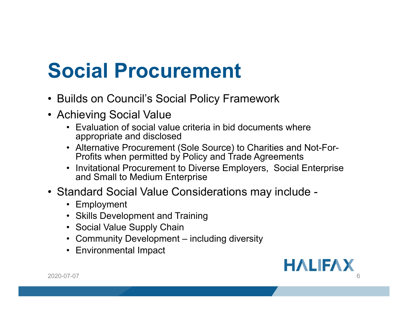# **Social Procurement**

- Builds on Council's Social Policy Framework
- Achieving Social Value
	- Evaluation of social value criteria in bid documents where appropriate and disclosed
	- Alternative Procurement (Sole Source) to Charities and Not-For-Profits when permitted by Policy and Trade Agreements
	- Invitational Procurement to Diverse Employers, Social Enterprise and Small to Medium Enterprise
- Standard Social Value Considerations may include
	- Employment
	- Skills Development and Training
	- Social Value Supply Chain
	- Community Development including diversity
	- Environmental Impact

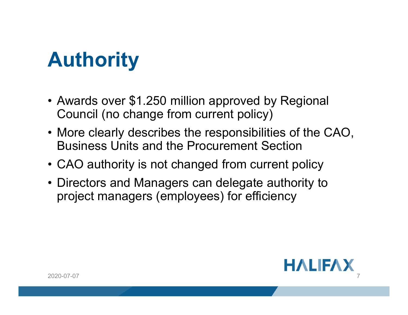# **Authority**

- Awards over \$1.250 million approved by Regional Council (no change from current policy)
- More clearly describes the responsibilities of the CAO, Business Units and the Procurement Section
- CAO authority is not changed from current policy
- Directors and Managers can delegate authority to project managers (employees) for efficiency

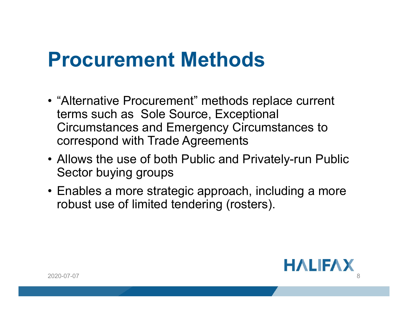### **Procurement Methods**

- "Alternative Procurement" methods replace current terms such as Sole Source, Exceptional Circumstances and Emergency Circumstances to correspond with Trade Agreements
- Allows the use of both Public and Privately-run Public Sector buying groups
- Enables a more strategic approach, including a more robust use of limited tendering (rosters).

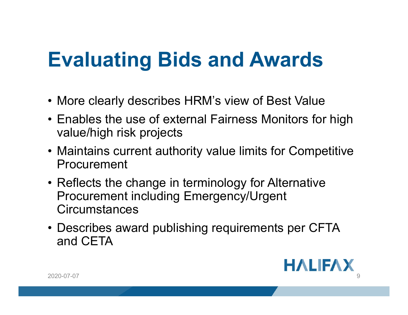# **Evaluating Bids and Awards**

- More clearly describes HRM's view of Best Value
- Enables the use of external Fairness Monitors for high value/high risk projects
- Maintains current authority value limits for Competitive Procurement
- Reflects the change in terminology for Alternative Procurement including Emergency/Urgent **Circumstances**
- Describes award publishing requirements per CFTA and CETA

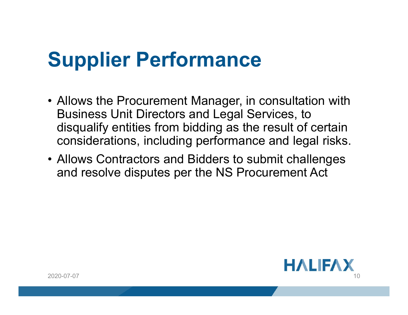# **Supplier Performance**

- Allows the Procurement Manager, in consultation with Business Unit Directors and Legal Services, to disqualify entities from bidding as the result of certain considerations, including performance and legal risks.
- Allows Contractors and Bidders to submit challenges and resolve disputes per the NS Procurement Act

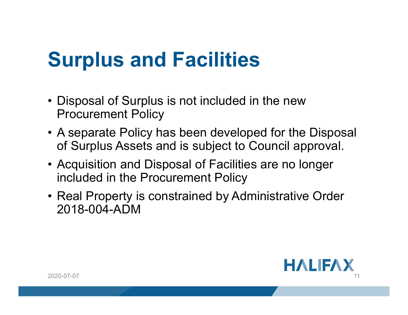# **Surplus and Facilities**

- Disposal of Surplus is not included in the new Procurement Policy
- A separate Policy has been developed for the Disposal of Surplus Assets and is subject to Council approval.
- Acquisition and Disposal of Facilities are no longer included in the Procurement Policy
- Real Property is constrained by Administrative Order 2018-004-ADM